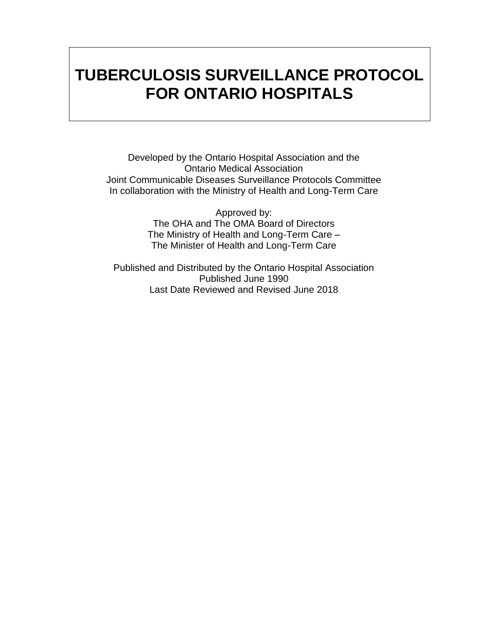# **TUBERCULOSIS SURVEILLANCE PROTOCOL FOR ONTARIO HOSPITALS**

Developed by the Ontario Hospital Association and the Ontario Medical Association Joint Communicable Diseases Surveillance Protocols Committee In collaboration with the Ministry of Health and Long-Term Care

> Approved by: The OHA and The OMA Board of Directors The Ministry of Health and Long-Term Care – The Minister of Health and Long-Term Care

Published and Distributed by the Ontario Hospital Association Published June 1990 Last Date Reviewed and Revised June 2018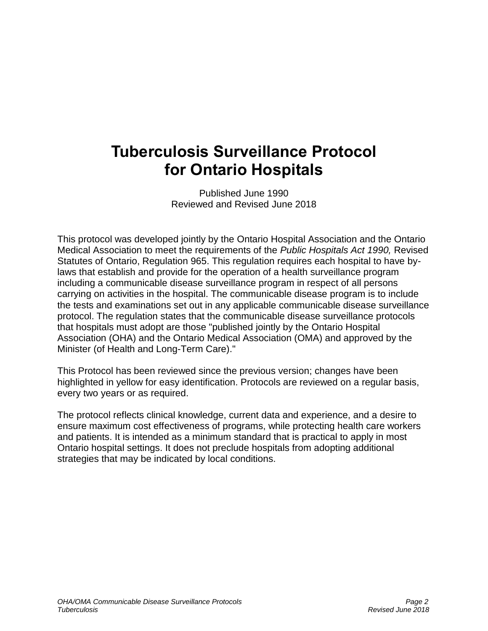# **Tuberculosis Surveillance Protocol for Ontario Hospitals**

Published June 1990 Reviewed and Revised June 2018

This protocol was developed jointly by the Ontario Hospital Association and the Ontario Medical Association to meet the requirements of the *Public Hospitals Act 1990,* Revised Statutes of Ontario, Regulation 965. This regulation requires each hospital to have bylaws that establish and provide for the operation of a health surveillance program including a communicable disease surveillance program in respect of all persons carrying on activities in the hospital. The communicable disease program is to include the tests and examinations set out in any applicable communicable disease surveillance protocol. The regulation states that the communicable disease surveillance protocols that hospitals must adopt are those "published jointly by the Ontario Hospital Association (OHA) and the Ontario Medical Association (OMA) and approved by the Minister (of Health and Long-Term Care)."

This Protocol has been reviewed since the previous version; changes have been highlighted in yellow for easy identification. Protocols are reviewed on a regular basis, every two years or as required.

The protocol reflects clinical knowledge, current data and experience, and a desire to ensure maximum cost effectiveness of programs, while protecting health care workers and patients. It is intended as a minimum standard that is practical to apply in most Ontario hospital settings. It does not preclude hospitals from adopting additional strategies that may be indicated by local conditions.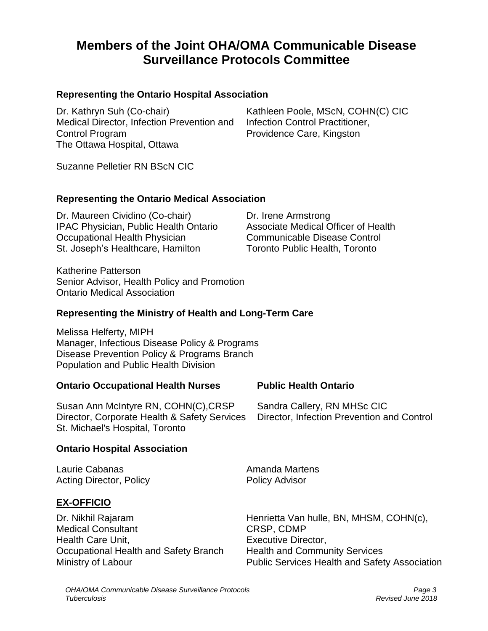# **Members of the Joint OHA/OMA Communicable Disease Surveillance Protocols Committee**

#### **Representing the Ontario Hospital Association**

Dr. Kathryn Suh (Co-chair) Medical Director, Infection Prevention and Control Program The Ottawa Hospital, Ottawa

Kathleen Poole, MScN, COHN(C) CIC Infection Control Practitioner, Providence Care, Kingston

Suzanne Pelletier RN BScN CIC

#### **Representing the Ontario Medical Association**

Dr. Maureen Cividino (Co-chair) IPAC Physician, Public Health Ontario Occupational Health Physician St. Joseph's Healthcare, Hamilton

Dr. Irene Armstrong Associate Medical Officer of Health Communicable Disease Control Toronto Public Health, Toronto

Katherine Patterson Senior Advisor, Health Policy and Promotion Ontario Medical Association

#### **Representing the Ministry of Health and Long-Term Care**

Melissa Helferty, MIPH Manager, Infectious Disease Policy & Programs Disease Prevention Policy & Programs Branch Population and Public Health Division

#### **Ontario Occupational Health Nurses Public Health Ontario**

Susan Ann McIntyre RN, COHN(C),CRSP Director, Corporate Health & Safety Services St. Michael's Hospital, Toronto Sandra Callery, RN MHSc CIC

#### **Ontario Hospital Association**

Laurie Cabanas Acting Director, Policy

#### **EX-OFFICIO**

Dr. Nikhil Rajaram Medical Consultant Health Care Unit, Occupational Health and Safety Branch Ministry of Labour

Director, Infection Prevention and Control

Amanda Martens Policy Advisor

Henrietta Van hulle, BN, MHSM, COHN(c), CRSP, CDMP Executive Director, Health and Community Services Public Services Health and Safety Association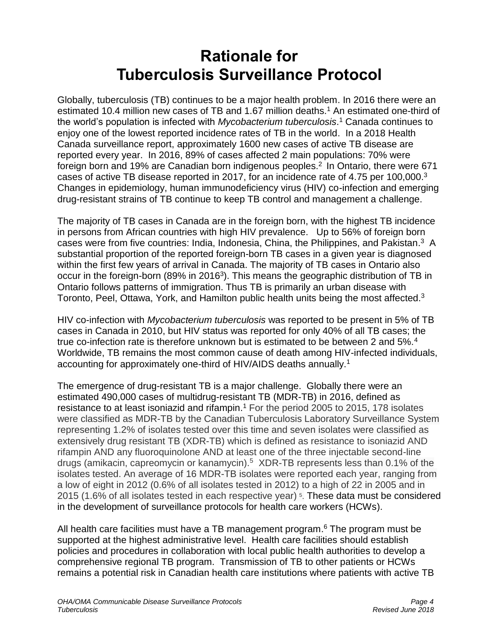# **Rationale for Tuberculosis Surveillance Protocol**

Globally, tuberculosis (TB) continues to be a major health problem. In 2016 there were an estimated 10.4 million new cases of TB and 1.67 million deaths.<sup>1</sup> An estimated one-third of the world's population is infected with *Mycobacterium tuberculosis*. <sup>1</sup> Canada continues to enjoy one of the lowest reported incidence rates of TB in the world. In a 2018 Health Canada surveillance report, approximately 1600 new cases of active TB disease are reported every year. In 2016, 89% of cases affected 2 main populations: 70% were foreign born and 19% are Canadian born indigenous peoples.<sup>2</sup> In Ontario, there were 671 cases of active TB disease reported in 2017, for an incidence rate of 4.75 per 100,000. $3$ Changes in epidemiology, human immunodeficiency virus (HIV) co-infection and emerging drug-resistant strains of TB continue to keep TB control and management a challenge.

The majority of TB cases in Canada are in the foreign born, with the highest TB incidence in persons from African countries with high HIV prevalence. Up to 56% of foreign born cases were from five countries: India, Indonesia, China, the Philippines, and Pakistan. <sup>3</sup> A substantial proportion of the reported foreign-born TB cases in a given year is diagnosed within the first few years of arrival in Canada. The majority of TB cases in Ontario also occur in the foreign-born (89% in 2016<sup>3</sup>). This means the geographic distribution of TB in Ontario follows patterns of immigration. Thus TB is primarily an urban disease with Toronto, Peel, Ottawa, York, and Hamilton public health units being the most affected.<sup>3</sup>

HIV co-infection with *Mycobacterium tuberculosis* was reported to be present in 5% of TB cases in Canada in 2010, but HIV status was reported for only 40% of all TB cases; the true co-infection rate is therefore unknown but is estimated to be between 2 and 5%.<sup>4</sup> Worldwide, TB remains the most common cause of death among HIV-infected individuals, accounting for approximately one-third of HIV/AIDS deaths annually.<sup>1</sup>

The emergence of drug-resistant TB is a major challenge. Globally there were an estimated 490,000 cases of multidrug-resistant TB (MDR-TB) in 2016, defined as resistance to at least isoniazid and rifampin.<sup>1</sup> For the period 2005 to 2015, 178 isolates were classified as MDR-TB by the Canadian Tuberculosis Laboratory Surveillance System representing 1.2% of isolates tested over this time and seven isolates were classified as extensively drug resistant TB (XDR-TB) which is defined as resistance to isoniazid AND rifampin AND any fluoroquinolone AND at least one of the three injectable second-line drugs (amikacin, capreomycin or kanamycin).<sup>5</sup> XDR-TB represents less than 0.1% of the isolates tested. An average of 16 MDR-TB isolates were reported each year, ranging from a low of eight in 2012 (0.6% of all isolates tested in 2012) to a high of 22 in 2005 and in 2015 (1.6% of all isolates tested in each respective year) <sup>5</sup> . These data must be considered in the development of surveillance protocols for health care workers (HCWs).

All health care facilities must have a TB management program.<sup>6</sup> The program must be supported at the highest administrative level. Health care facilities should establish policies and procedures in collaboration with local public health authorities to develop a comprehensive regional TB program. Transmission of TB to other patients or HCWs remains a potential risk in Canadian health care institutions where patients with active TB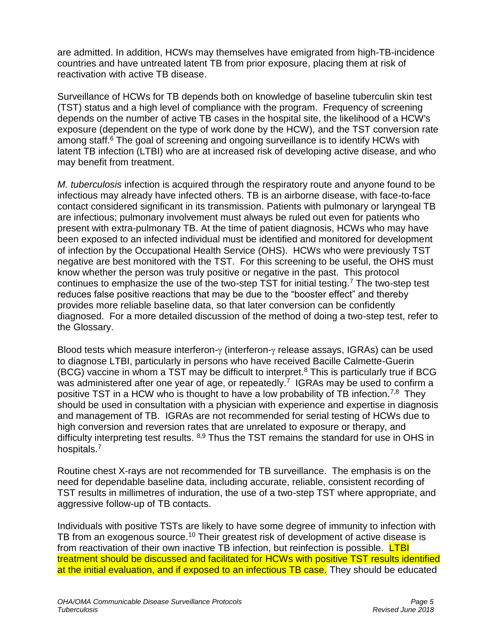are admitted. In addition, HCWs may themselves have emigrated from high-TB-incidence countries and have untreated latent TB from prior exposure, placing them at risk of reactivation with active TB disease.

Surveillance of HCWs for TB depends both on knowledge of baseline tuberculin skin test (TST) status and a high level of compliance with the program. Frequency of screening depends on the number of active TB cases in the hospital site, the likelihood of a HCW's exposure (dependent on the type of work done by the HCW), and the TST conversion rate among staff.<sup>6</sup> The goal of screening and ongoing surveillance is to identify HCWs with latent TB infection (LTBI) who are at increased risk of developing active disease, and who may benefit from treatment.

*M. tuberculosis* infection is acquired through the respiratory route and anyone found to be infectious may already have infected others. TB is an airborne disease, with face-to-face contact considered significant in its transmission. Patients with pulmonary or laryngeal TB are infectious; pulmonary involvement must always be ruled out even for patients who present with extra-pulmonary TB. At the time of patient diagnosis, HCWs who may have been exposed to an infected individual must be identified and monitored for development of infection by the Occupational Health Service (OHS). HCWs who were previously TST negative are best monitored with the TST. For this screening to be useful, the OHS must know whether the person was truly positive or negative in the past. This protocol continues to emphasize the use of the two-step TST for initial testing.<sup>7</sup> The two-step test reduces false positive reactions that may be due to the "booster effect" and thereby provides more reliable baseline data, so that later conversion can be confidently diagnosed. For a more detailed discussion of the method of doing a two-step test, refer to the Glossary.

Blood tests which measure interferon- $\gamma$  (interferon- $\gamma$  release assays, IGRAs) can be used to diagnose LTBI, particularly in persons who have received Bacille Calmette-Guerin (BCG) vaccine in whom a TST may be difficult to interpret.<sup>8</sup> This is particularly true if BCG was administered after one year of age, or repeatedly.<sup>7</sup> IGRAs may be used to confirm a positive TST in a HCW who is thought to have a low probability of TB infection.<sup>7,8</sup> They should be used in consultation with a physician with experience and expertise in diagnosis and management of TB. IGRAs are not recommended for serial testing of HCWs due to high conversion and reversion rates that are unrelated to exposure or therapy, and difficulty interpreting test results. <sup>8,9</sup> Thus the TST remains the standard for use in OHS in hospitals.<sup>7</sup>

Routine chest X-rays are not recommended for TB surveillance. The emphasis is on the need for dependable baseline data, including accurate, reliable, consistent recording of TST results in millimetres of induration, the use of a two-step TST where appropriate, and aggressive follow-up of TB contacts.

Individuals with positive TSTs are likely to have some degree of immunity to infection with TB from an exogenous source.<sup>10</sup> Their greatest risk of development of active disease is from reactivation of their own inactive TB infection, but reinfection is possible. LTBI treatment should be discussed and facilitated for HCWs with positive TST results identified at the initial evaluation, and if exposed to an infectious TB case. They should be educated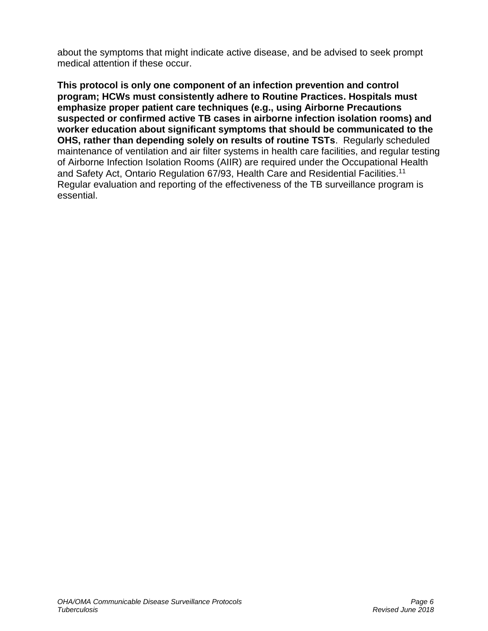about the symptoms that might indicate active disease, and be advised to seek prompt medical attention if these occur.

**This protocol is only one component of an infection prevention and control program; HCWs must consistently adhere to Routine Practices. Hospitals must emphasize proper patient care techniques (e.g., using Airborne Precautions suspected or confirmed active TB cases in airborne infection isolation rooms) and worker education about significant symptoms that should be communicated to the OHS, rather than depending solely on results of routine TSTs**. Regularly scheduled maintenance of ventilation and air filter systems in health care facilities, and regular testing of Airborne Infection Isolation Rooms (AIIR) are required under the Occupational Health and Safety Act, Ontario Regulation 67/93, Health Care and Residential Facilities. 11 Regular evaluation and reporting of the effectiveness of the TB surveillance program is essential.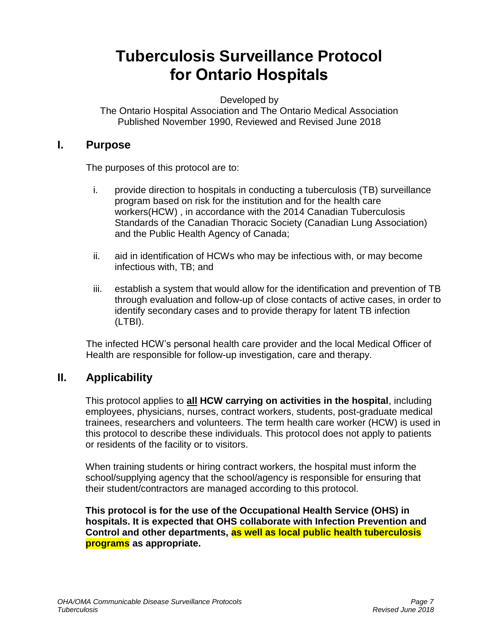# **Tuberculosis Surveillance Protocol for Ontario Hospitals**

Developed by

The Ontario Hospital Association and The Ontario Medical Association Published November 1990, Reviewed and Revised June 2018

### **I. Purpose**

The purposes of this protocol are to:

- i. provide direction to hospitals in conducting a tuberculosis (TB) surveillance program based on risk for the institution and for the health care workers(HCW) , in accordance with the 2014 Canadian Tuberculosis Standards of the Canadian Thoracic Society (Canadian Lung Association) and the Public Health Agency of Canada;
- ii. aid in identification of HCWs who may be infectious with, or may become infectious with, TB; and
- iii. establish a system that would allow for the identification and prevention of TB through evaluation and follow-up of close contacts of active cases, in order to identify secondary cases and to provide therapy for latent TB infection (LTBI).

The infected HCW's personal health care provider and the local Medical Officer of Health are responsible for follow-up investigation, care and therapy.

# **II. Applicability**

This protocol applies to **all HCW carrying on activities in the hospital**, including employees, physicians, nurses, contract workers, students, post-graduate medical trainees, researchers and volunteers. The term health care worker (HCW) is used in this protocol to describe these individuals. This protocol does not apply to patients or residents of the facility or to visitors.

When training students or hiring contract workers, the hospital must inform the school/supplying agency that the school/agency is responsible for ensuring that their student/contractors are managed according to this protocol.

**This protocol is for the use of the Occupational Health Service (OHS) in hospitals. It is expected that OHS collaborate with Infection Prevention and Control and other departments, as well as local public health tuberculosis programs as appropriate.**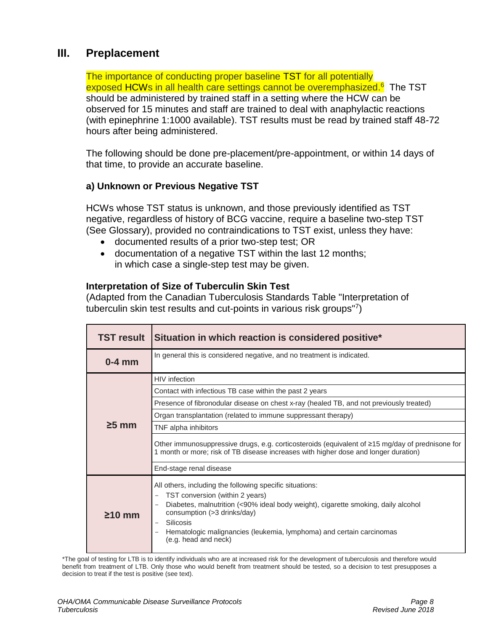# **III. Preplacement**

The importance of conducting proper baseline TST for all potentially exposed HCWs in all health care settings cannot be overemphasized.<sup>6</sup> The TST should be administered by trained staff in a setting where the HCW can be observed for 15 minutes and staff are trained to deal with anaphylactic reactions (with epinephrine 1:1000 available). TST results must be read by trained staff 48-72 hours after being administered.

The following should be done pre-placement/pre-appointment, or within 14 days of that time, to provide an accurate baseline.

#### **a) Unknown or Previous Negative TST**

HCWs whose TST status is unknown, and those previously identified as TST negative, regardless of history of BCG vaccine, require a baseline two-step TST (See Glossary), provided no contraindications to TST exist, unless they have:

- documented results of a prior two-step test; OR
- documentation of a negative TST within the last 12 months; in which case a single-step test may be given.

#### **Interpretation of Size of Tuberculin Skin Test**

(Adapted from the Canadian Tuberculosis Standards Table "Interpretation of tuberculin skin test results and cut-points in various risk groups"7)

| <b>TST result</b> | Situation in which reaction is considered positive*                                                                                                                                                                                                                                                                          |  |  |
|-------------------|------------------------------------------------------------------------------------------------------------------------------------------------------------------------------------------------------------------------------------------------------------------------------------------------------------------------------|--|--|
| $0-4$ mm          | In general this is considered negative, and no treatment is indicated.                                                                                                                                                                                                                                                       |  |  |
| $\geq$ 5 mm       | HIV infection                                                                                                                                                                                                                                                                                                                |  |  |
|                   | Contact with infectious TB case within the past 2 years                                                                                                                                                                                                                                                                      |  |  |
|                   | Presence of fibronodular disease on chest x-ray (healed TB, and not previously treated)                                                                                                                                                                                                                                      |  |  |
|                   | Organ transplantation (related to immune suppressant therapy)                                                                                                                                                                                                                                                                |  |  |
|                   | TNF alpha inhibitors                                                                                                                                                                                                                                                                                                         |  |  |
|                   | Other immunosuppressive drugs, e.g. corticosteroids (equivalent of $\geq 15$ mg/day of prednisone for<br>1 month or more; risk of TB disease increases with higher dose and longer duration)                                                                                                                                 |  |  |
|                   | End-stage renal disease                                                                                                                                                                                                                                                                                                      |  |  |
| $\geq$ 10 mm      | All others, including the following specific situations:<br>TST conversion (within 2 years)<br>Diabetes, malnutrition (<90% ideal body weight), cigarette smoking, daily alcohol<br>consumption (>3 drinks/day)<br>Silicosis<br>Hematologic malignancies (leukemia, lymphoma) and certain carcinomas<br>(e.g. head and neck) |  |  |

\*The goal of testing for LTB is to identify individuals who are at increased risk for the development of tuberculosis and therefore would benefit from treatment of LTB. Only those who would benefit from treatment should be tested, so a decision to test presupposes a decision to treat if the test is positive (see text).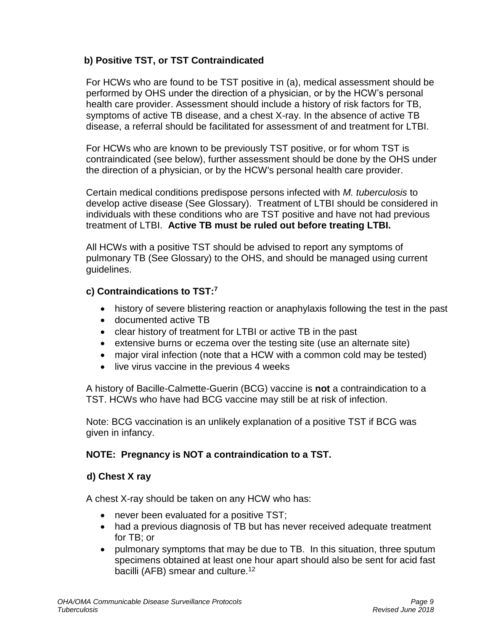### **b) Positive TST, or TST Contraindicated**

For HCWs who are found to be TST positive in (a), medical assessment should be performed by OHS under the direction of a physician, or by the HCW's personal health care provider. Assessment should include a history of risk factors for TB, symptoms of active TB disease, and a chest X-ray. In the absence of active TB disease, a referral should be facilitated for assessment of and treatment for LTBI.

For HCWs who are known to be previously TST positive, or for whom TST is contraindicated (see below), further assessment should be done by the OHS under the direction of a physician, or by the HCW's personal health care provider.

Certain medical conditions predispose persons infected with *M. tuberculosis* to develop active disease (See Glossary). Treatment of LTBI should be considered in individuals with these conditions who are TST positive and have not had previous treatment of LTBI. **Active TB must be ruled out before treating LTBI.**

All HCWs with a positive TST should be advised to report any symptoms of pulmonary TB (See Glossary) to the OHS, and should be managed using current guidelines.

#### **c) Contraindications to TST: 7**

- history of severe blistering reaction or anaphylaxis following the test in the past
- documented active TB
- clear history of treatment for LTBI or active TB in the past
- extensive burns or eczema over the testing site (use an alternate site)
- major viral infection (note that a HCW with a common cold may be tested)
- live virus vaccine in the previous 4 weeks

A history of Bacille-Calmette-Guerin (BCG) vaccine is **not** a contraindication to a TST. HCWs who have had BCG vaccine may still be at risk of infection.

Note: BCG vaccination is an unlikely explanation of a positive TST if BCG was given in infancy.

#### **NOTE: Pregnancy is NOT a contraindication to a TST.**

#### **d) Chest X ray**

A chest X-ray should be taken on any HCW who has:

- never been evaluated for a positive TST;
- had a previous diagnosis of TB but has never received adequate treatment for TB; or
- pulmonary symptoms that may be due to TB. In this situation, three sputum specimens obtained at least one hour apart should also be sent for acid fast bacilli (AFB) smear and culture.<sup>12</sup>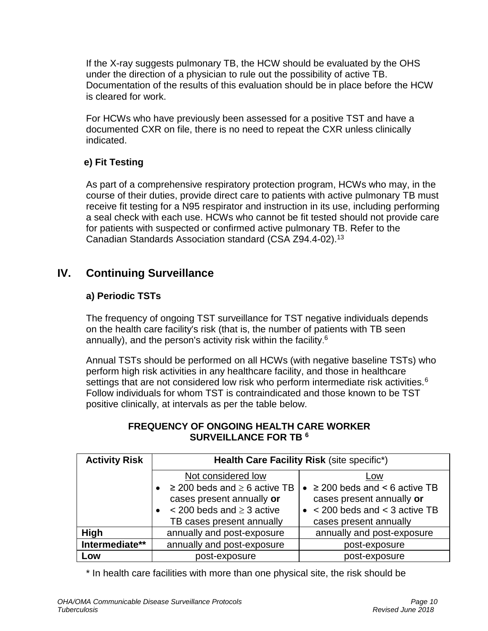If the X-ray suggests pulmonary TB, the HCW should be evaluated by the OHS under the direction of a physician to rule out the possibility of active TB. Documentation of the results of this evaluation should be in place before the HCW is cleared for work.

For HCWs who have previously been assessed for a positive TST and have a documented CXR on file, there is no need to repeat the CXR unless clinically indicated.

## **e) Fit Testing**

As part of a comprehensive respiratory protection program, HCWs who may, in the course of their duties, provide direct care to patients with active pulmonary TB must receive fit testing for a N95 respirator and instruction in its use, including performing a seal check with each use. HCWs who cannot be fit tested should not provide care for patients with suspected or confirmed active pulmonary TB. Refer to the Canadian Standards Association standard (CSA Z94.4-02). 13

# **IV. Continuing Surveillance**

### **a) Periodic TSTs**

The frequency of ongoing TST surveillance for TST negative individuals depends on the health care facility's risk (that is, the number of patients with TB seen annually), and the person's activity risk within the facility.<sup>6</sup>

Annual TSTs should be performed on all HCWs (with negative baseline TSTs) who perform high risk activities in any healthcare facility, and those in healthcare settings that are not considered low risk who perform intermediate risk activities.<sup>6</sup> Follow individuals for whom TST is contraindicated and those known to be TST positive clinically, at intervals as per the table below.

#### **FREQUENCY OF ONGOING HEALTH CARE WORKER SURVEILLANCE FOR TB <sup>6</sup>**

| <b>Activity Risk</b> | Health Care Facility Risk (site specific*) |                                             |
|----------------------|--------------------------------------------|---------------------------------------------|
|                      | Not considered low                         | Low                                         |
|                      | $\geq$ 200 beds and $\geq$ 6 active TB     | $\bullet$ $\geq$ 200 beds and < 6 active TB |
|                      | cases present annually or                  | cases present annually or                   |
|                      | $<$ 200 beds and $\geq$ 3 active           | $\bullet$ < 200 beds and < 3 active TB      |
|                      | TB cases present annually                  | cases present annually                      |
| High                 | annually and post-exposure                 | annually and post-exposure                  |
| Intermediate**       | annually and post-exposure                 | post-exposure                               |
| Low                  | post-exposure                              | post-exposure                               |

\* In health care facilities with more than one physical site, the risk should be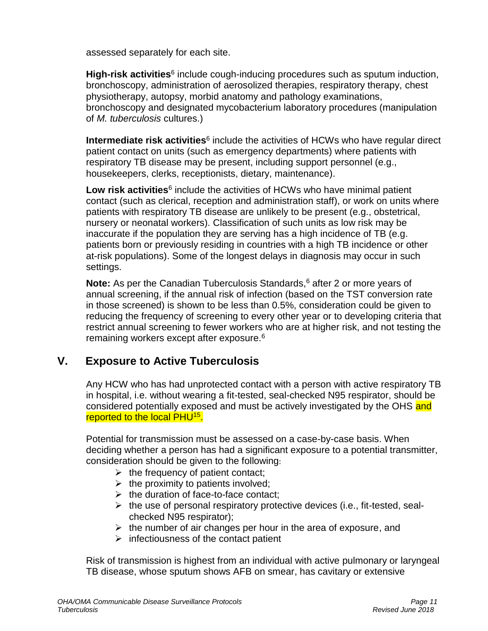assessed separately for each site.

High-risk activities<sup>6</sup> include cough-inducing procedures such as sputum induction, bronchoscopy, administration of aerosolized therapies, respiratory therapy, chest physiotherapy, autopsy, morbid anatomy and pathology examinations, bronchoscopy and designated mycobacterium laboratory procedures (manipulation of *M. tuberculosis* cultures.)

**Intermediate risk activities**<sup>6</sup> include the activities of HCWs who have regular direct patient contact on units (such as emergency departments) where patients with respiratory TB disease may be present, including support personnel (e.g., housekeepers, clerks, receptionists, dietary, maintenance).

Low risk activities<sup>6</sup> include the activities of HCWs who have minimal patient contact (such as clerical, reception and administration staff), or work on units where patients with respiratory TB disease are unlikely to be present (e.g., obstetrical, nursery or neonatal workers). Classification of such units as low risk may be inaccurate if the population they are serving has a high incidence of TB (e.g. patients born or previously residing in countries with a high TB incidence or other at-risk populations). Some of the longest delays in diagnosis may occur in such settings.

**Note:** As per the Canadian Tuberculosis Standards, <sup>6</sup> after 2 or more years of annual screening, if the annual risk of infection (based on the TST conversion rate in those screened) is shown to be less than 0.5%, consideration could be given to reducing the frequency of screening to every other year or to developing criteria that restrict annual screening to fewer workers who are at higher risk, and not testing the remaining workers except after exposure.<sup>6</sup>

# **V. Exposure to Active Tuberculosis**

Any HCW who has had unprotected contact with a person with active respiratory TB in hospital, i.e. without wearing a fit-tested, seal-checked N95 respirator, should be considered potentially exposed and must be actively investigated by the OHS and reported to the local PHU<sup>15</sup>.

Potential for transmission must be assessed on a case-by-case basis. When deciding whether a person has had a significant exposure to a potential transmitter, consideration should be given to the following:

- $\triangleright$  the frequency of patient contact;
- $\triangleright$  the proximity to patients involved;
- $\triangleright$  the duration of face-to-face contact;
- $\triangleright$  the use of personal respiratory protective devices (i.e., fit-tested, sealchecked N95 respirator);
- $\triangleright$  the number of air changes per hour in the area of exposure, and
- $\triangleright$  infectiousness of the contact patient

Risk of transmission is highest from an individual with active pulmonary or laryngeal TB disease, whose sputum shows AFB on smear, has cavitary or extensive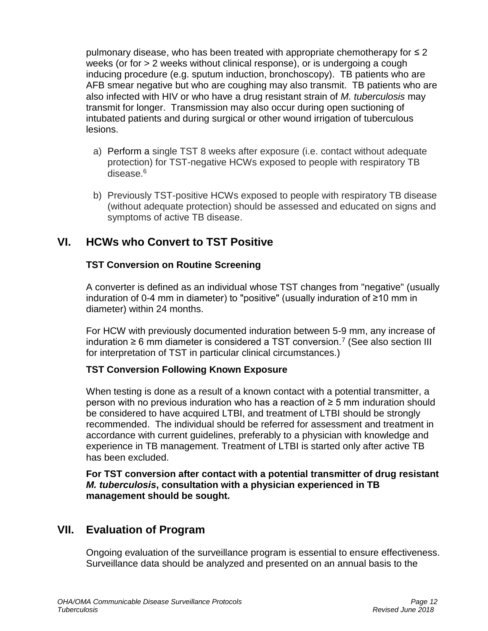pulmonary disease, who has been treated with appropriate chemotherapy for ≤ 2 weeks (or for > 2 weeks without clinical response), or is undergoing a cough inducing procedure (e.g. sputum induction, bronchoscopy). TB patients who are AFB smear negative but who are coughing may also transmit. TB patients who are also infected with HIV or who have a drug resistant strain of *M. tuberculosis* may transmit for longer. Transmission may also occur during open suctioning of intubated patients and during surgical or other wound irrigation of tuberculous lesions.

- a) Perform a single TST 8 weeks after exposure (i.e. contact without adequate protection) for TST-negative HCWs exposed to people with respiratory TB disease. 6
- b) Previously TST-positive HCWs exposed to people with respiratory TB disease (without adequate protection) should be assessed and educated on signs and symptoms of active TB disease.

# **VI. HCWs who Convert to TST Positive**

### **TST Conversion on Routine Screening**

A converter is defined as an individual whose TST changes from "negative" (usually induration of 0-4 mm in diameter) to "positive" (usually induration of ≥10 mm in diameter) within 24 months.

For HCW with previously documented induration between 5-9 mm, any increase of induration ≥ 6 mm diameter is considered a TST conversion.<sup>7</sup> (See also section III for interpretation of TST in particular clinical circumstances.)

#### **TST Conversion Following Known Exposure**

When testing is done as a result of a known contact with a potential transmitter, a person with no previous induration who has a reaction of ≥ 5 mm induration should be considered to have acquired LTBI, and treatment of LTBI should be strongly recommended. The individual should be referred for assessment and treatment in accordance with current guidelines, preferably to a physician with knowledge and experience in TB management. Treatment of LTBI is started only after active TB has been excluded.

**For TST conversion after contact with a potential transmitter of drug resistant**  *M. tuberculosis***, consultation with a physician experienced in TB management should be sought.**

# **VII. Evaluation of Program**

Ongoing evaluation of the surveillance program is essential to ensure effectiveness. Surveillance data should be analyzed and presented on an annual basis to the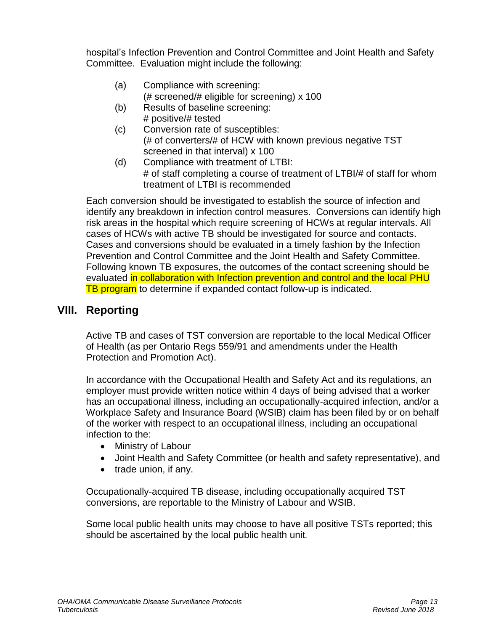hospital's Infection Prevention and Control Committee and Joint Health and Safety Committee. Evaluation might include the following:

- (a) Compliance with screening: (# screened/# eligible for screening) x 100
- (b) Results of baseline screening: # positive/# tested
- (c) Conversion rate of susceptibles: (# of converters/# of HCW with known previous negative TST screened in that interval) x 100
- (d) Compliance with treatment of LTBI: # of staff completing a course of treatment of LTBI/# of staff for whom treatment of LTBI is recommended

Each conversion should be investigated to establish the source of infection and identify any breakdown in infection control measures. Conversions can identify high risk areas in the hospital which require screening of HCWs at regular intervals. All cases of HCWs with active TB should be investigated for source and contacts. Cases and conversions should be evaluated in a timely fashion by the Infection Prevention and Control Committee and the Joint Health and Safety Committee. Following known TB exposures, the outcomes of the contact screening should be evaluated in collaboration with Infection prevention and control and the local PHU TB program to determine if expanded contact follow-up is indicated.

# **VIII. Reporting**

Active TB and cases of TST conversion are reportable to the local Medical Officer of Health (as per Ontario Regs 559/91 and amendments under the Health Protection and Promotion Act).

In accordance with the Occupational Health and Safety Act and its regulations, an employer must provide written notice within 4 days of being advised that a worker has an occupational illness, including an occupationally-acquired infection, and/or a Workplace Safety and Insurance Board (WSIB) claim has been filed by or on behalf of the worker with respect to an occupational illness, including an occupational infection to the:

- Ministry of Labour
- Joint Health and Safety Committee (or health and safety representative), and
- trade union, if any.

Occupationally-acquired TB disease, including occupationally acquired TST conversions, are reportable to the Ministry of Labour and WSIB.

Some local public health units may choose to have all positive TSTs reported; this should be ascertained by the local public health unit.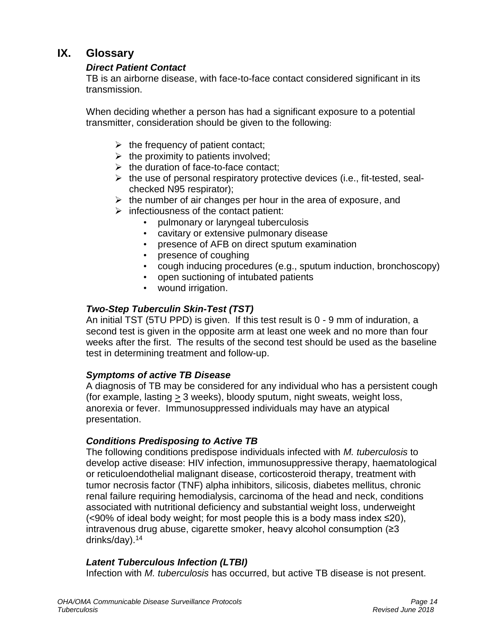# **IX. Glossary**

#### *Direct Patient Contact*

TB is an airborne disease, with face-to-face contact considered significant in its transmission.

When deciding whether a person has had a significant exposure to a potential transmitter, consideration should be given to the following:

- $\triangleright$  the frequency of patient contact;
- $\triangleright$  the proximity to patients involved;
- $\triangleright$  the duration of face-to-face contact;
- $\triangleright$  the use of personal respiratory protective devices (i.e., fit-tested, sealchecked N95 respirator);
- $\triangleright$  the number of air changes per hour in the area of exposure, and
- $\triangleright$  infectiousness of the contact patient:
	- pulmonary or laryngeal tuberculosis
	- cavitary or extensive pulmonary disease
	- presence of AFB on direct sputum examination
	- presence of coughing
	- cough inducing procedures (e.g., sputum induction, bronchoscopy)
	- open suctioning of intubated patients
	- wound irrigation.

### *Two-Step Tuberculin Skin-Test (TST)*

An initial TST (5TU PPD) is given. If this test result is 0 - 9 mm of induration, a second test is given in the opposite arm at least one week and no more than four weeks after the first. The results of the second test should be used as the baseline test in determining treatment and follow-up.

#### *Symptoms of active TB Disease*

A diagnosis of TB may be considered for any individual who has a persistent cough (for example, lasting  $\geq 3$  weeks), bloody sputum, night sweats, weight loss, anorexia or fever. Immunosuppressed individuals may have an atypical presentation.

#### *Conditions Predisposing to Active TB*

The following conditions predispose individuals infected with *M. tuberculosis* to develop active disease: HIV infection, immunosuppressive therapy, haematological or reticuloendothelial malignant disease, corticosteroid therapy, treatment with tumor necrosis factor (TNF) alpha inhibitors, silicosis, diabetes mellitus, chronic renal failure requiring hemodialysis, carcinoma of the head and neck, conditions associated with nutritional deficiency and substantial weight loss, underweight (<90% of ideal body weight; for most people this is a body mass index ≤20), intravenous drug abuse, cigarette smoker, heavy alcohol consumption (≥3 drinks/day). 14

#### *Latent Tuberculous Infection (LTBI)*

Infection with *M. tuberculosis* has occurred, but active TB disease is not present.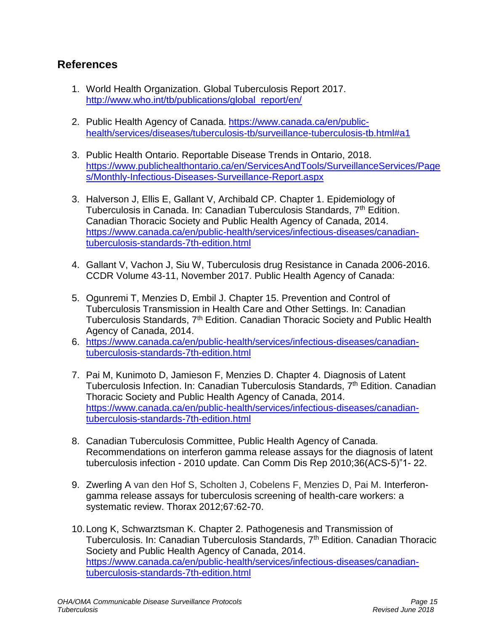# **References**

- 1. World Health Organization. Global Tuberculosis Report 2017. [http://www.who.int/tb/publications/global\\_report/en/](http://www.who.int/tb/publications/global_report/en/)
- 2. Public Health Agency of Canada. [https://www.canada.ca/en/public](https://www.canada.ca/en/public-health/services/diseases/tuberculosis-tb/surveillance-tuberculosis-tb.html#a1)[health/services/diseases/tuberculosis-tb/surveillance-tuberculosis-tb.html#a1](https://www.canada.ca/en/public-health/services/diseases/tuberculosis-tb/surveillance-tuberculosis-tb.html#a1)
- 3. Public Health Ontario. Reportable Disease Trends in Ontario, 2018. [https://www.publichealthontario.ca/en/ServicesAndTools/SurveillanceServices/Page](https://www.publichealthontario.ca/en/ServicesAndTools/SurveillanceServices/Pages/Monthly-Infectious-Diseases-Surveillance-Report.aspx) [s/Monthly-Infectious-Diseases-Surveillance-Report.aspx](https://www.publichealthontario.ca/en/ServicesAndTools/SurveillanceServices/Pages/Monthly-Infectious-Diseases-Surveillance-Report.aspx)
- 3. Halverson J, Ellis E, Gallant V, Archibald CP. Chapter 1. Epidemiology of Tuberculosis in Canada. In: Canadian Tuberculosis Standards, 7<sup>th</sup> Edition. Canadian Thoracic Society and Public Health Agency of Canada, 2014. [https://www.canada.ca/en/public-health/services/infectious-diseases/canadian](https://www.canada.ca/en/public-health/services/infectious-diseases/canadian-tuberculosis-standards-7th-edition.html)[tuberculosis-standards-7th-edition.html](https://www.canada.ca/en/public-health/services/infectious-diseases/canadian-tuberculosis-standards-7th-edition.html)
- 4. Gallant V, Vachon J, Siu W, Tuberculosis drug Resistance in Canada 2006-2016. CCDR Volume 43-11, November 2017. Public Health Agency of Canada:
- 5. Ogunremi T, Menzies D, Embil J. Chapter 15. Prevention and Control of Tuberculosis Transmission in Health Care and Other Settings. In: Canadian Tuberculosis Standards, 7<sup>th</sup> Edition. Canadian Thoracic Society and Public Health Agency of Canada, 2014.
- 6. [https://www.canada.ca/en/public-health/services/infectious-diseases/canadian](https://www.canada.ca/en/public-health/services/infectious-diseases/canadian-tuberculosis-standards-7th-edition.html)[tuberculosis-standards-7th-edition.html](https://www.canada.ca/en/public-health/services/infectious-diseases/canadian-tuberculosis-standards-7th-edition.html)
- 7. Pai M, Kunimoto D, Jamieson F, Menzies D. Chapter 4. Diagnosis of Latent Tuberculosis Infection. In: Canadian Tuberculosis Standards, 7<sup>th</sup> Edition. Canadian Thoracic Society and Public Health Agency of Canada, 2014. [https://www.canada.ca/en/public-health/services/infectious-diseases/canadian](https://www.canada.ca/en/public-health/services/infectious-diseases/canadian-tuberculosis-standards-7th-edition.html)[tuberculosis-standards-7th-edition.html](https://www.canada.ca/en/public-health/services/infectious-diseases/canadian-tuberculosis-standards-7th-edition.html)
- 8. Canadian Tuberculosis Committee, Public Health Agency of Canada. Recommendations on interferon gamma release assays for the diagnosis of latent tuberculosis infection - 2010 update. Can Comm Dis Rep 2010;36(ACS-5)"1- 22.
- 9. Zwerling A van den Hof S, Scholten J, Cobelens F, Menzies D, Pai M. Interferongamma release assays for tuberculosis screening of health-care workers: a systematic review. Thorax 2012;67:62-70.
- 10.Long K, Schwarztsman K. Chapter 2. Pathogenesis and Transmission of Tuberculosis. In: Canadian Tuberculosis Standards, 7<sup>th</sup> Edition. Canadian Thoracic Society and Public Health Agency of Canada, 2014. https://www.canada.ca/en/public-health/services/infectious-diseases/canadiantuberculosis-standards-7th-edition.html